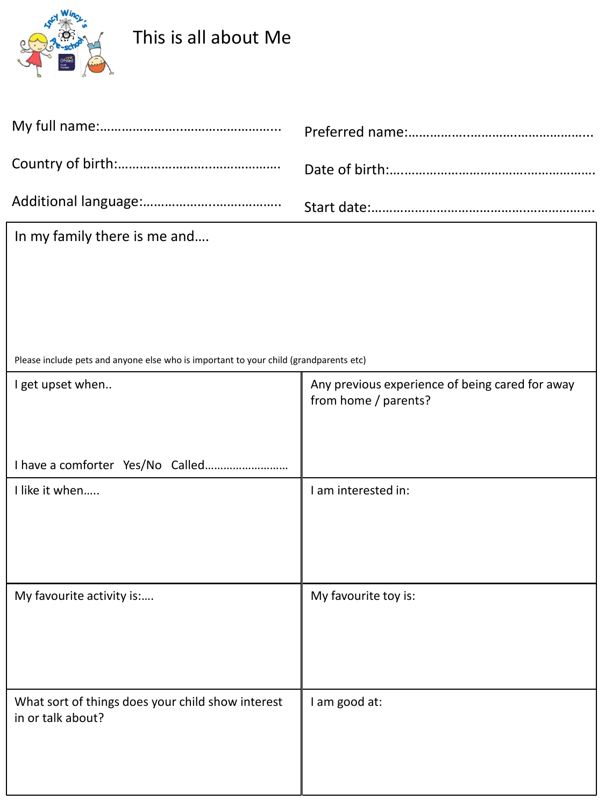

## This is all about Me

| In my family there is me and                                                          |                                                                         |  |  |
|---------------------------------------------------------------------------------------|-------------------------------------------------------------------------|--|--|
|                                                                                       |                                                                         |  |  |
|                                                                                       |                                                                         |  |  |
|                                                                                       |                                                                         |  |  |
| Please include pets and anyone else who is important to your child (grandparents etc) |                                                                         |  |  |
| I get upset when                                                                      | Any previous experience of being cared for away<br>from home / parents? |  |  |
|                                                                                       |                                                                         |  |  |
| I have a comforter Yes/No Called                                                      |                                                                         |  |  |
| I like it when                                                                        | I am interested in:                                                     |  |  |
|                                                                                       |                                                                         |  |  |
|                                                                                       |                                                                         |  |  |
| My favourite activity is:                                                             | My favourite toy is:                                                    |  |  |
|                                                                                       |                                                                         |  |  |
|                                                                                       |                                                                         |  |  |
| What sort of things does your child show interest<br>in or talk about?                | I am good at:                                                           |  |  |
|                                                                                       |                                                                         |  |  |
|                                                                                       |                                                                         |  |  |